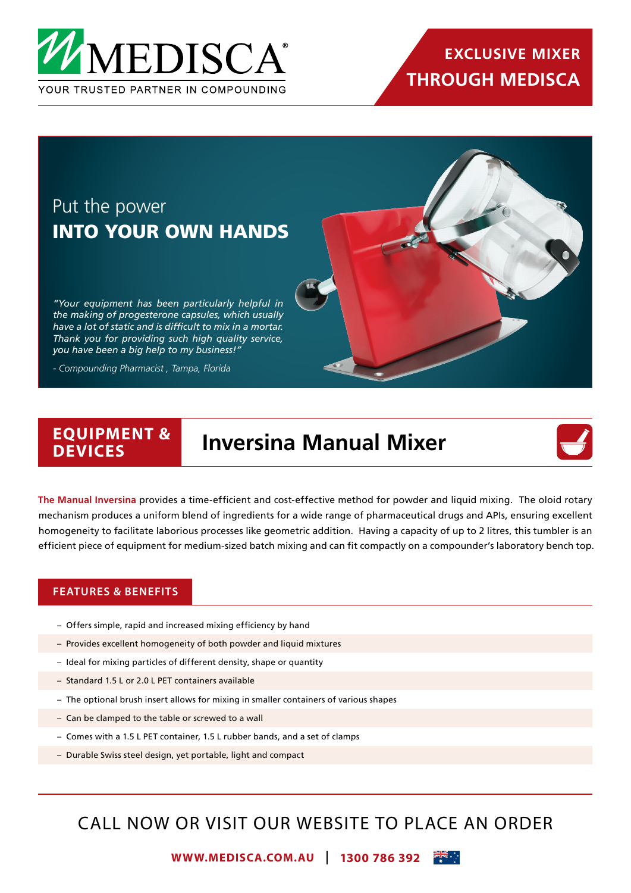

## Put the power INTO YOUR OWN HANDS

*"Your equipment has been particularly helpful in the making of progesterone capsules, which usually have a lot of static and is difficult to mix in a mortar. Thank you for providing such high quality service, you have been a big help to my business!"* 

*- Compounding Pharmacist , Tampa, Florida*

### **EQUIPMENT & Inversina Manual Mixer**



**The Manual Inversina** provides a time-efficient and cost-effective method for powder and liquid mixing. The oloid rotary mechanism produces a uniform blend of ingredients for a wide range of pharmaceutical drugs and APIs, ensuring excellent homogeneity to facilitate laborious processes like geometric addition. Having a capacity of up to 2 litres, this tumbler is an efficient piece of equipment for medium-sized batch mixing and can fit compactly on a compounder's laboratory bench top.

#### **FEATURES & BENEFITS**

- Offers simple, rapid and increased mixing efficiency by hand
- Provides excellent homogeneity of both powder and liquid mixtures
- Ideal for mixing particles of different density, shape or quantity
- Standard 1.5 L or 2.0 L PET containers available
- The optional brush insert allows for mixing in smaller containers of various shapes
- Can be clamped to the table or screwed to a wall
- Comes with a 1.5 L PET container, 1.5 L rubber bands, and a set of clamps
- Durable Swiss steel design, yet portable, light and compact

## CALL NOW OR VISIT OUR WEBSITE TO PLACE AN ORDER

**WWW.MEDISCA.COM.AU 1300 786 392**